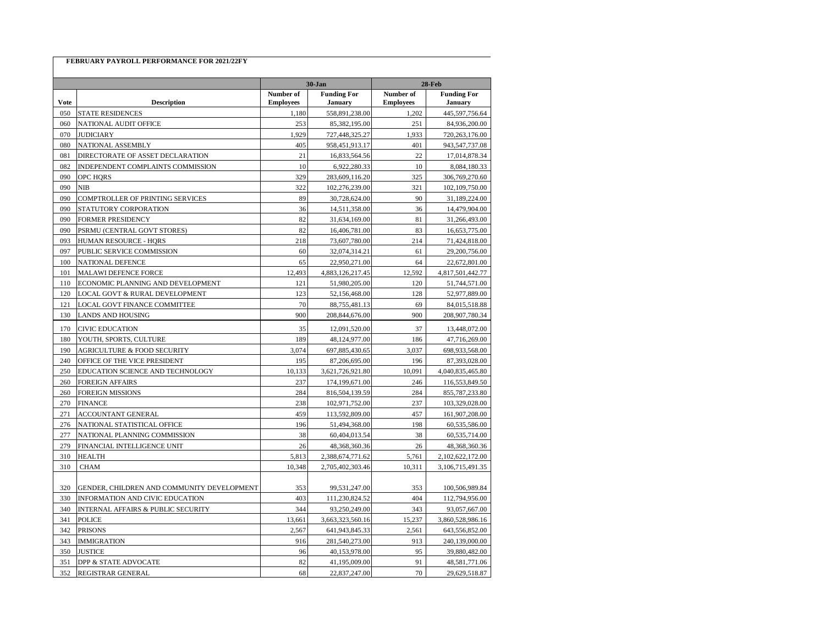|             |                                            | $30-Jan$                      |                               | <b>28-Feb</b>                 |                               |
|-------------|--------------------------------------------|-------------------------------|-------------------------------|-------------------------------|-------------------------------|
| <b>Vote</b> | <b>Description</b>                         | Number of<br><b>Employees</b> | <b>Funding For</b><br>January | Number of<br><b>Employees</b> | <b>Funding For</b><br>January |
| 050         | <b>STATE RESIDENCES</b>                    | 1,180                         | 558,891,238.00                | 1,202                         | 445,597,756.64                |
| 060         | NATIONAL AUDIT OFFICE                      | 253                           | 85,382,195.00                 | 251                           | 84,936,200.00                 |
| 070         | <b>JUDICIARY</b>                           | 1,929                         | 727,448,325.27                | 1,933                         | 720,263,176.00                |
| 080         | NATIONAL ASSEMBLY                          | 405                           | 958,451,913.17                | 401                           | 943,547,737.08                |
| 081         | DIRECTORATE OF ASSET DECLARATION           | 21                            | 16,833,564.56                 | 22                            | 17,014,878.34                 |
| 082         | INDEPENDENT COMPLAINTS COMMISSION          | 10                            | 6,922,280.33                  | 10                            | 8,084,180.33                  |
| 090         | OPC HORS                                   | 329                           | 283,609,116.20                | 325                           | 306,769,270.60                |
| 090         | NIB                                        | 322                           | 102,276,239.00                | 321                           | 102,109,750.00                |
| 090         | COMPTROLLER OF PRINTING SERVICES           | 89                            | 30,728,624.00                 | 90                            | 31,189,224.00                 |
| 090         | STATUTORY CORPORATION                      | 36                            | 14,511,358.00                 | 36                            | 14,479,904.00                 |
| 090         | FORMER PRESIDENCY                          | 82                            | 31,634,169.00                 | 81                            | 31,266,493.00                 |
| 090         | PSRMU (CENTRAL GOVT STORES)                | 82                            | 16,406,781.00                 | 83                            | 16,653,775.00                 |
| 093         | <b>HUMAN RESOURCE - HORS</b>               | 218                           | 73,607,780.00                 | 214                           | 71,424,818.00                 |
| 097         | PUBLIC SERVICE COMMISSION                  | 60                            | 32,074,314.21                 | 61                            | 29,200,756.00                 |
| 100         | NATIONAL DEFENCE                           | 65                            | 22,950,271.00                 | 64                            | 22,672,801.00                 |
| 101         | MALAWI DEFENCE FORCE                       | 12,493                        | 4,883,126,217.45              | 12,592                        | 4,817,501,442.77              |
| 110         | ECONOMIC PLANNING AND DEVELOPMENT          | 121                           | 51,980,205.00                 | 120                           | 51,744,571.00                 |
| 120         | LOCAL GOVT & RURAL DEVELOPMENT             | 123                           | 52,156,468.00                 | 128                           | 52,977,889.00                 |
| 121         | LOCAL GOVT FINANCE COMMITTEE               | 70                            | 88,755,481.13                 | 69                            | 84,015,518.88                 |
| 130         | <b>LANDS AND HOUSING</b>                   | 900                           | 208,844,676.00                | 900                           | 208,907,780.34                |
| 170         | <b>CIVIC EDUCATION</b>                     | 35                            | 12,091,520.00                 | 37                            | 13,448,072.00                 |
| 180         | YOUTH, SPORTS, CULTURE                     | 189                           | 48,124,977.00                 | 186                           | 47,716,269.00                 |
| 190         | <b>AGRICULTURE &amp; FOOD SECURITY</b>     | 3,074                         | 697,885,430.65                | 3,037                         | 698,933,568.00                |
| 240         | OFFICE OF THE VICE PRESIDENT               | 195                           | 87,206,695.00                 | 196                           | 87,393,028.00                 |
| 250         | EDUCATION SCIENCE AND TECHNOLOGY           | 10,133                        | 3,621,726,921.80              | 10,091                        | 4,040,835,465.80              |
| 260         | FOREIGN AFFAIRS                            | 237                           | 174,199,671.00                | 246                           | 116,553,849.50                |
| 260         | FOREIGN MISSIONS                           | 284                           | 816,504,139.59                | 284                           | 855,787,233.80                |
| 270         | <b>FINANCE</b>                             | 238                           | 102,971,752.00                | 237                           | 103,329,028.00                |
| 271         | ACCOUNTANT GENERAL                         | 459                           | 113,592,809.00                | 457                           | 161,907,208.00                |
| 276         | NATIONAL STATISTICAL OFFICE                | 196                           | 51,494,368.00                 | 198                           | 60,535,586.00                 |
| 277         | NATIONAL PLANNING COMMISSION               | 38                            | 60,404,013.54                 | 38                            | 60,535,714.00                 |
| 279         | FINANCIAL INTELLIGENCE UNIT                | 26                            | 48,368,360.36                 | 26                            | 48,368,360.36                 |
| 310         | <b>HEALTH</b>                              | 5,813                         | 2,388,674,771.62              | 5,761                         | 2,102,622,172.00              |
| 310         | <b>CHAM</b>                                | 10,348                        | 2,705,402,303.46              | 10,311                        | 3,106,715,491.35              |
|             |                                            |                               |                               |                               |                               |
| 320         | GENDER, CHILDREN AND COMMUNITY DEVELOPMENT | 353                           | 99,531,247.00                 | 353                           | 100,506,989.84                |
| 330         | INFORMATION AND CIVIC EDUCATION            | 403                           | 111,230,824.52                | 404                           | 112,794,956.00                |
| 340         | INTERNAL AFFAIRS & PUBLIC SECURITY         | 344                           | 93,250,249.00                 | 343                           | 93,057,667.00                 |
| 341         | <b>POLICE</b>                              | 13,661                        | 3,663,323,560.16              | 15,237                        | 3,860,528,986.16              |
| 342         | PRISONS                                    | 2,567                         | 641,943,845.33                | 2,561                         | 643,556,852.00                |
| 343         | <b>IMMIGRATION</b>                         | 916                           | 281,540,273.00                | 913                           | 240,139,000.00                |
| 350         | <b>JUSTICE</b>                             | 96                            | 40,153,978.00                 | 95                            | 39,880,482.00                 |
| 351         | DPP & STATE ADVOCATE                       | 82                            | 41,195,009.00                 | 91                            | 48,581,771.06                 |
| 352         | REGISTRAR GENERAL                          | 68                            | 22,837,247.00                 | 70                            | 29,629,518.87                 |